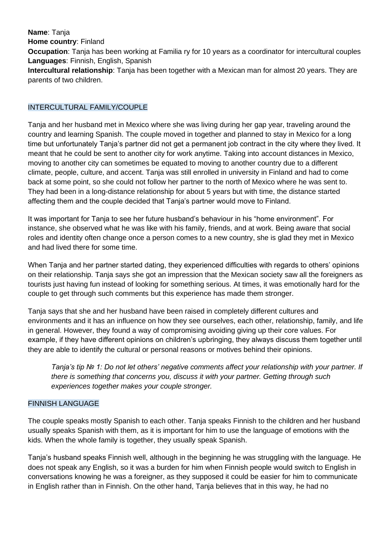**Name**: Tanja **Home country**: Finland **Occupation**: Tanja has been working at Familia ry for 10 years as a coordinator for intercultural couples **Languages**: Finnish, English, Spanish **Intercultural relationship**: Tanja has been together with a Mexican man for almost 20 years. They are parents of two children.

## INTERCULTURAL FAMILY/COUPLE

Tanja and her husband met in Mexico where she was living during her gap year, traveling around the country and learning Spanish. The couple moved in together and planned to stay in Mexico for a long time but unfortunately Tanja's partner did not get a permanent job contract in the city where they lived. It meant that he could be sent to another city for work anytime. Taking into account distances in Mexico, moving to another city can sometimes be equated to moving to another country due to a different climate, people, culture, and accent. Tanja was still enrolled in university in Finland and had to come back at some point, so she could not follow her partner to the north of Mexico where he was sent to. They had been in a long-distance relationship for about 5 years but with time, the distance started affecting them and the couple decided that Tanja's partner would move to Finland.

It was important for Tanja to see her future husband's behaviour in his "home environment". For instance, she observed what he was like with his family, friends, and at work. Being aware that social roles and identity often change once a person comes to a new country, she is glad they met in Mexico and had lived there for some time.

When Tanja and her partner started dating, they experienced difficulties with regards to others' opinions on their relationship. Tanja says she got an impression that the Mexican society saw all the foreigners as tourists just having fun instead of looking for something serious. At times, it was emotionally hard for the couple to get through such comments but this experience has made them stronger.

Tanja says that she and her husband have been raised in completely different cultures and environments and it has an influence on how they see ourselves, each other, relationship, family, and life in general. However, they found a way of compromising avoiding giving up their core values. For example, if they have different opinions on children's upbringing, they always discuss them together until they are able to identify the cultural or personal reasons or motives behind their opinions.

*Tanja's tip № 1: Do not let others' negative comments affect your relationship with your partner. If there is something that concerns you, discuss it with your partner. Getting through such experiences together makes your couple stronger.* 

## FINNISH LANGUAGE

The couple speaks mostly Spanish to each other. Tanja speaks Finnish to the children and her husband usually speaks Spanish with them, as it is important for him to use the language of emotions with the kids. When the whole family is together, they usually speak Spanish.

Tanja's husband speaks Finnish well, although in the beginning he was struggling with the language. He does not speak any English, so it was a burden for him when Finnish people would switch to English in conversations knowing he was a foreigner, as they supposed it could be easier for him to communicate in English rather than in Finnish. On the other hand, Tanja believes that in this way, he had no